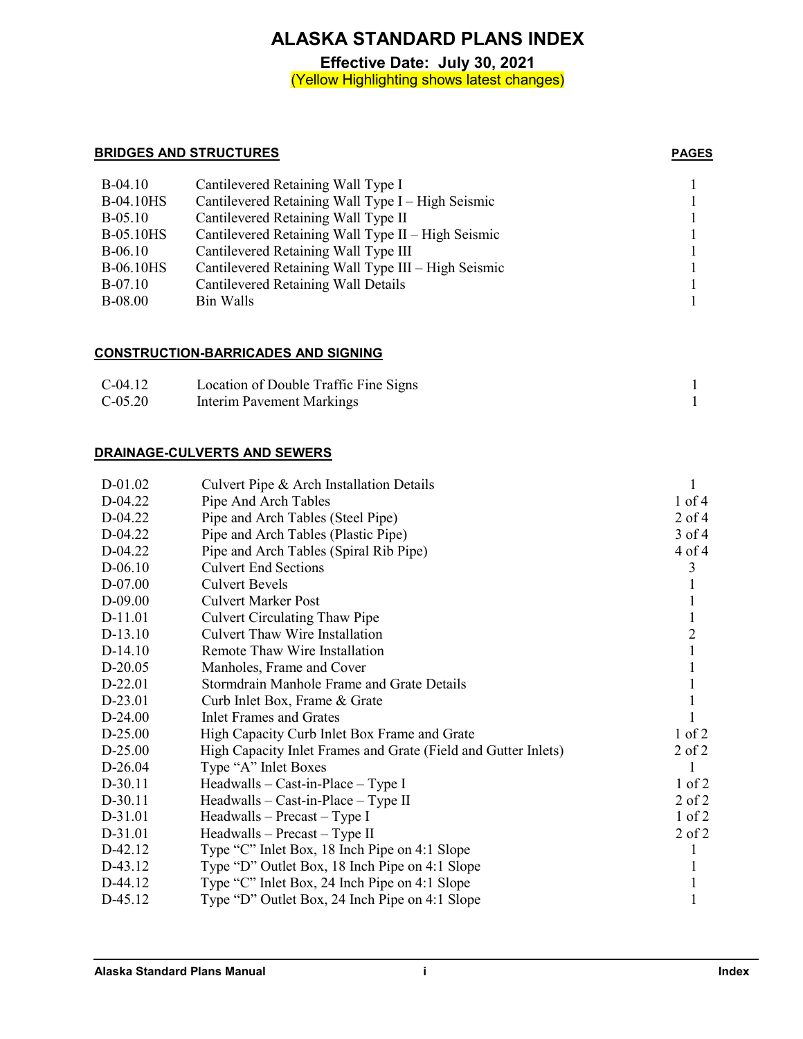**Effective Date: July 30, 2021** (Yellow Highlighting shows latest changes)

#### **BRIDGES AND STRUCTURES PAGES**

| $B-04.10$        | Cantilevered Retaining Wall Type I                  |  |
|------------------|-----------------------------------------------------|--|
| <b>B-04.10HS</b> | Cantilevered Retaining Wall Type I – High Seismic   |  |
| $B-05.10$        | Cantilevered Retaining Wall Type II                 |  |
| <b>B-05.10HS</b> | Cantilevered Retaining Wall Type II – High Seismic  |  |
| $B-06.10$        | Cantilevered Retaining Wall Type III                |  |
| <b>B-06.10HS</b> | Cantilevered Retaining Wall Type III - High Seismic |  |
| <b>B-07.10</b>   | Cantilevered Retaining Wall Details                 |  |
| <b>B-08.00</b>   | Bin Walls                                           |  |

## **CONSTRUCTION-BARRICADES AND SIGNING**

| $C-04.12$ | Location of Double Traffic Fine Signs |  |
|-----------|---------------------------------------|--|
| $C-05.20$ | Interim Pavement Markings             |  |

#### **DRAINAGE-CULVERTS AND SEWERS**

| D-01.02   | Culvert Pipe & Arch Installation Details                       |                |
|-----------|----------------------------------------------------------------|----------------|
| D-04.22   | Pipe And Arch Tables                                           | $1$ of $4$     |
| D-04.22   | Pipe and Arch Tables (Steel Pipe)                              | $2$ of 4       |
| D-04.22   | Pipe and Arch Tables (Plastic Pipe)                            | $3$ of 4       |
| D-04.22   | Pipe and Arch Tables (Spiral Rib Pipe)                         | 4 of 4         |
| $D-06.10$ | <b>Culvert End Sections</b>                                    | 3              |
| $D-07.00$ | <b>Culvert Bevels</b>                                          |                |
| $D-09.00$ | <b>Culvert Marker Post</b>                                     |                |
| D-11.01   | <b>Culvert Circulating Thaw Pipe</b>                           |                |
| $D-13.10$ | <b>Culvert Thaw Wire Installation</b>                          | $\overline{c}$ |
| $D-14.10$ | Remote Thaw Wire Installation                                  | 1              |
| $D-20.05$ | Manholes, Frame and Cover                                      |                |
| D-22.01   | Stormdrain Manhole Frame and Grate Details                     |                |
| D-23.01   | Curb Inlet Box, Frame & Grate                                  |                |
| $D-24.00$ | Inlet Frames and Grates                                        |                |
| $D-25.00$ | High Capacity Curb Inlet Box Frame and Grate                   | $1$ of $2$     |
| $D-25.00$ | High Capacity Inlet Frames and Grate (Field and Gutter Inlets) | $2$ of $2$     |
| $D-26.04$ | Type "A" Inlet Boxes                                           |                |
| $D-30.11$ | Headwalls - Cast-in-Place - Type I                             | $1$ of $2$     |
| D-30.11   | $Headwalls - Cast-in-Place - Type II$                          | $2$ of $2$     |
| D-31.01   | $Headwalls - Precast - Type I$                                 | $1$ of $2$     |
| D-31.01   | $Headwalls - Precast - Type II$                                | $2$ of $2$     |
| D-42.12   | Type "C" Inlet Box, 18 Inch Pipe on 4:1 Slope                  |                |
| D-43.12   | Type "D" Outlet Box, 18 Inch Pipe on 4:1 Slope                 |                |
| D-44.12   | Type "C" Inlet Box, 24 Inch Pipe on 4:1 Slope                  |                |
| D-45.12   | Type "D" Outlet Box, 24 Inch Pipe on 4:1 Slope                 |                |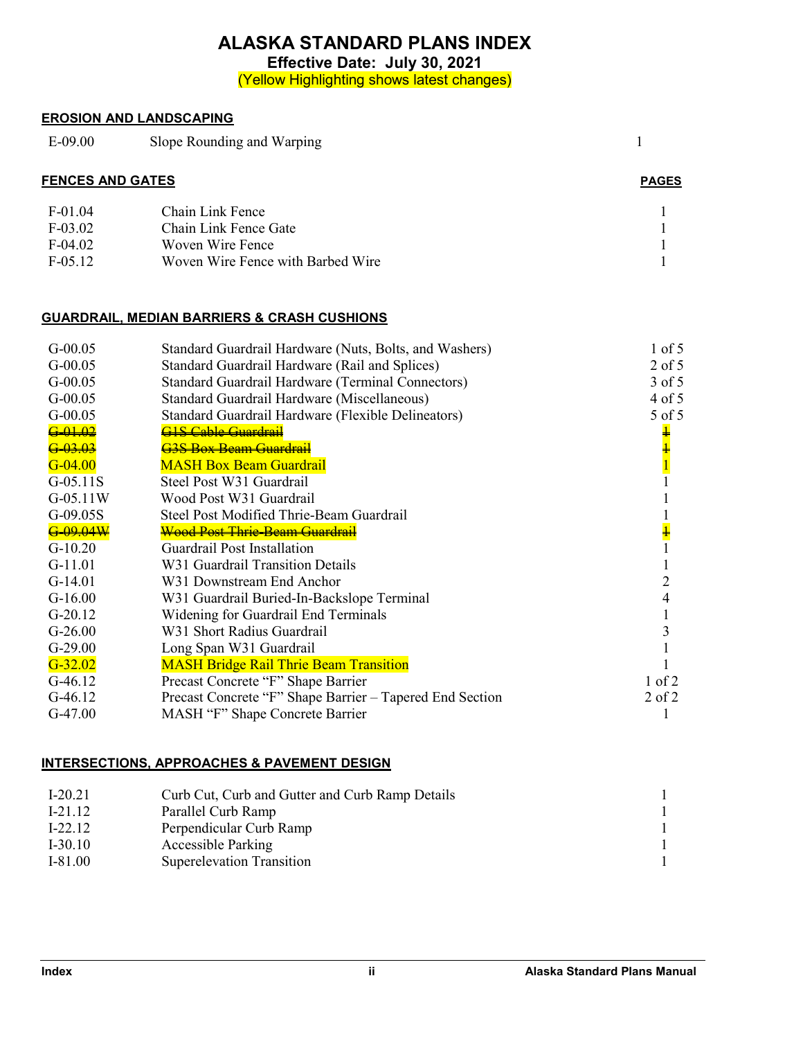**Effective Date: July 30, 2021**

(Yellow Highlighting shows latest changes)

# **EROSION AND LANDSCAPING**

E-09.00 Slope Rounding and Warping 1

| <b>FENCES AND GATES</b> | <b>PAGES</b> |
|-------------------------|--------------|

| $F-01.04$  | Chain Link Fence                  |  |
|------------|-----------------------------------|--|
| $F-03.02$  | Chain Link Fence Gate             |  |
| $F-04.02$  | Woven Wire Fence                  |  |
| $F-0.5.12$ | Woven Wire Fence with Barbed Wire |  |

# **GUARDRAIL, MEDIAN BARRIERS & CRASH CUSHIONS**

| $G-00.05$           | Standard Guardrail Hardware (Nuts, Bolts, and Washers)   | $1$ of $5$    |
|---------------------|----------------------------------------------------------|---------------|
| $G-00.05$           | Standard Guardrail Hardware (Rail and Splices)           | $2$ of 5      |
| $G-00.05$           | Standard Guardrail Hardware (Terminal Connectors)        | $3$ of $5$    |
| $G-00.05$           | Standard Guardrail Hardware (Miscellaneous)              | $4$ of $5$    |
| $G-00.05$           | Standard Guardrail Hardware (Flexible Delineators)       | 5 of 5        |
| $6 - 01 - 02$       | <u>GIS Cable Guardrail</u>                               | ∔             |
| <del>G-03.03</del>  | <del>G3S Box Beam Guardrail</del>                        |               |
| $G - 04.00$         | <b>MASH Box Beam Guardrail</b>                           |               |
| $G-05.11S$          | Steel Post W31 Guardrail                                 |               |
| $G-05.11W$          | Wood Post W31 Guardrail                                  |               |
| $G-09.05S$          | Steel Post Modified Thrie-Beam Guardrail                 |               |
| <del>G-09.04W</del> | <del>Wood Post Thrie-Beam Guardrail</del>                | $\frac{1}{1}$ |
| $G-10.20$           | Guardrail Post Installation                              |               |
| $G-11.01$           | W31 Guardrail Transition Details                         |               |
| $G-14.01$           | W31 Downstream End Anchor                                |               |
| $G-16.00$           | W31 Guardrail Buried-In-Backslope Terminal               |               |
| $G-20.12$           | Widening for Guardrail End Terminals                     |               |
| $G-26.00$           | W31 Short Radius Guardrail                               |               |
| $G-29.00$           | Long Span W31 Guardrail                                  |               |
| $G - 32.02$         | <b>MASH Bridge Rail Thrie Beam Transition</b>            |               |
| $G-46.12$           | Precast Concrete "F" Shape Barrier                       | $1$ of $2$    |
| $G-46.12$           | Precast Concrete "F" Shape Barrier – Tapered End Section | $2$ of $2$    |
| $G-47.00$           | MASH "F" Shape Concrete Barrier                          |               |
|                     |                                                          |               |

# **INTERSECTIONS, APPROACHES & PAVEMENT DESIGN**

| $I-20.21$ | Curb Cut, Curb and Gutter and Curb Ramp Details |  |
|-----------|-------------------------------------------------|--|
| $I-21.12$ | Parallel Curb Ramp                              |  |
| $I-22.12$ | Perpendicular Curb Ramp                         |  |
| $I-30.10$ | <b>Accessible Parking</b>                       |  |
| $I-81.00$ | <b>Superelevation Transition</b>                |  |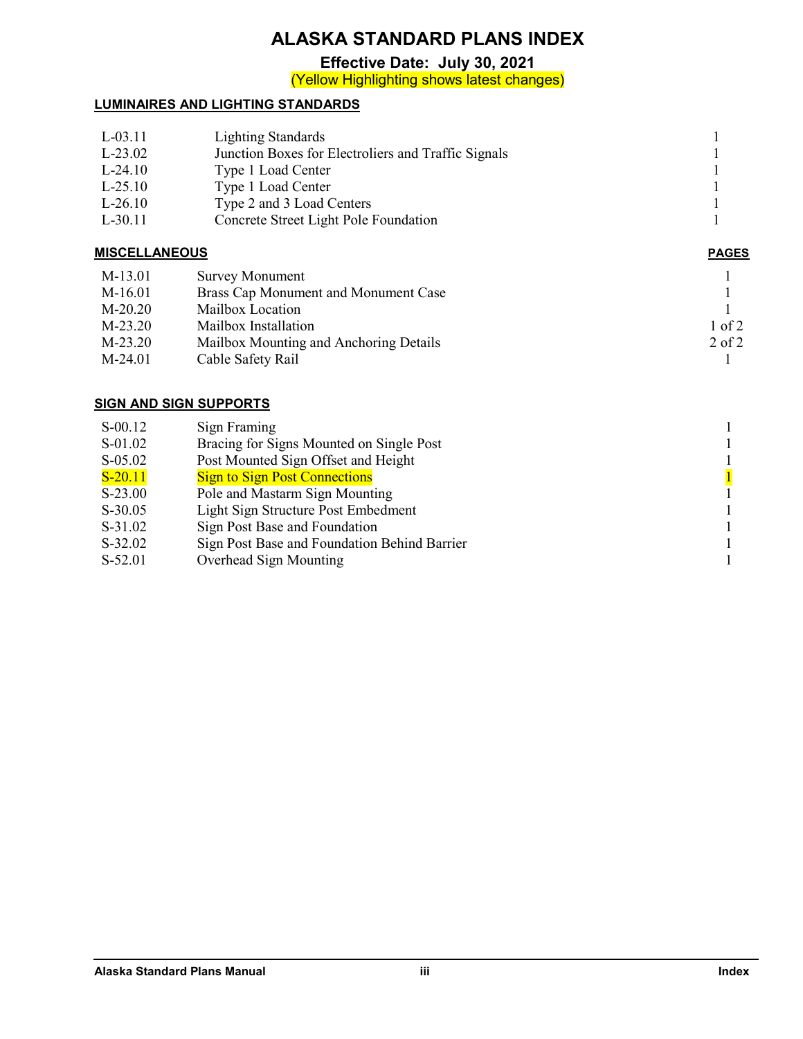**Effective Date: July 30, 2021**

(Yellow Highlighting shows latest changes)

# **LUMINAIRES AND LIGHTING STANDARDS**

| $L-03.11$ | <b>Lighting Standards</b>                           |  |
|-----------|-----------------------------------------------------|--|
| $L-23.02$ | Junction Boxes for Electroliers and Traffic Signals |  |
| $L-24.10$ | Type 1 Load Center                                  |  |
| $L-25.10$ | Type 1 Load Center                                  |  |
| $L-26.10$ | Type 2 and 3 Load Centers                           |  |
| $L-30.11$ | Concrete Street Light Pole Foundation               |  |
|           |                                                     |  |

## **MISCELLANEOUS PAGES**

| M-13.01   | Survey Monument                        |            |
|-----------|----------------------------------------|------------|
| M-16.01   | Brass Cap Monument and Monument Case   |            |
| $M-20.20$ | Mailbox Location                       |            |
| $M-23.20$ | Mailbox Installation                   | 1 of 2     |
| $M-23.20$ | Mailbox Mounting and Anchoring Details | $2$ of $2$ |
| M-24.01   | Cable Safety Rail                      |            |

## **SIGN AND SIGN SUPPORTS**

| $S-00.12$ | Sign Framing                                           |
|-----------|--------------------------------------------------------|
| S-01.02   | Bracing for Signs Mounted on Single Post               |
| $S-05.02$ | Post Mounted Sign Offset and Height                    |
| $S-20.11$ | $\overline{1}$<br><b>Sign to Sign Post Connections</b> |
| $S-23.00$ | Pole and Mastarm Sign Mounting                         |
| $S-30.05$ | Light Sign Structure Post Embedment                    |
| $S-31.02$ | Sign Post Base and Foundation                          |
| $S-32.02$ | Sign Post Base and Foundation Behind Barrier           |
| S-52.01   | Overhead Sign Mounting                                 |